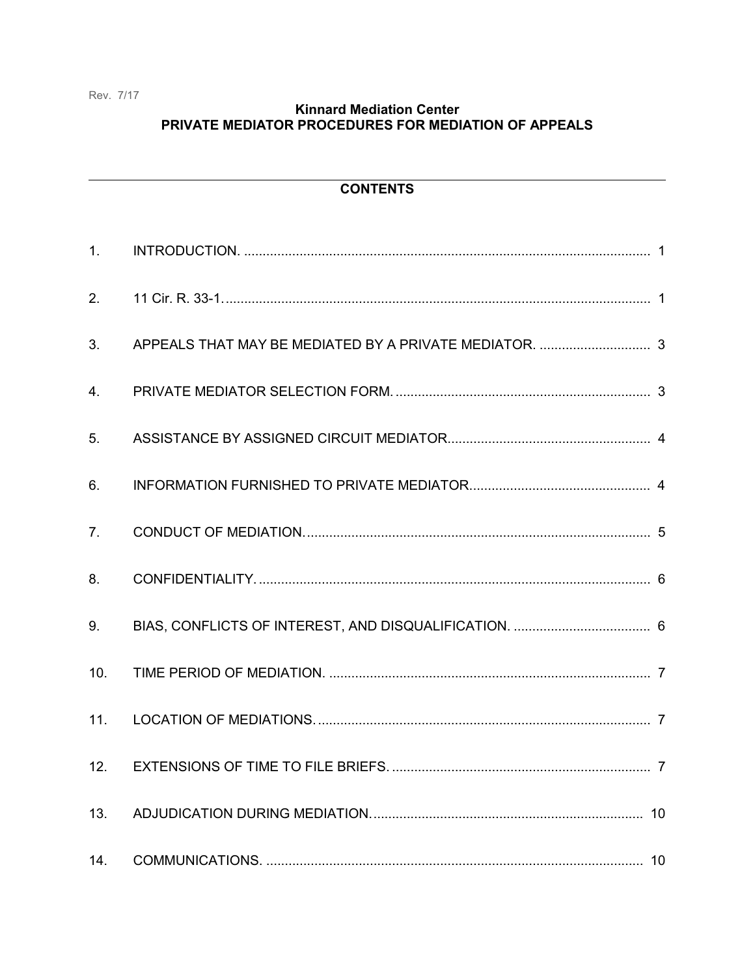Rev. 7/17

### **Kinnard Mediation Center** PRIVATE MEDIATOR PROCEDURES FOR MEDIATION OF APPEALS

### **CONTENTS**

| 1.             |  |
|----------------|--|
| 2.             |  |
| 3.             |  |
| 4.             |  |
| 5.             |  |
| 6.             |  |
| 7 <sub>1</sub> |  |
| 8.             |  |
|                |  |
| 9.             |  |
| 10.            |  |
| 11.            |  |
| 12.            |  |
| 13.            |  |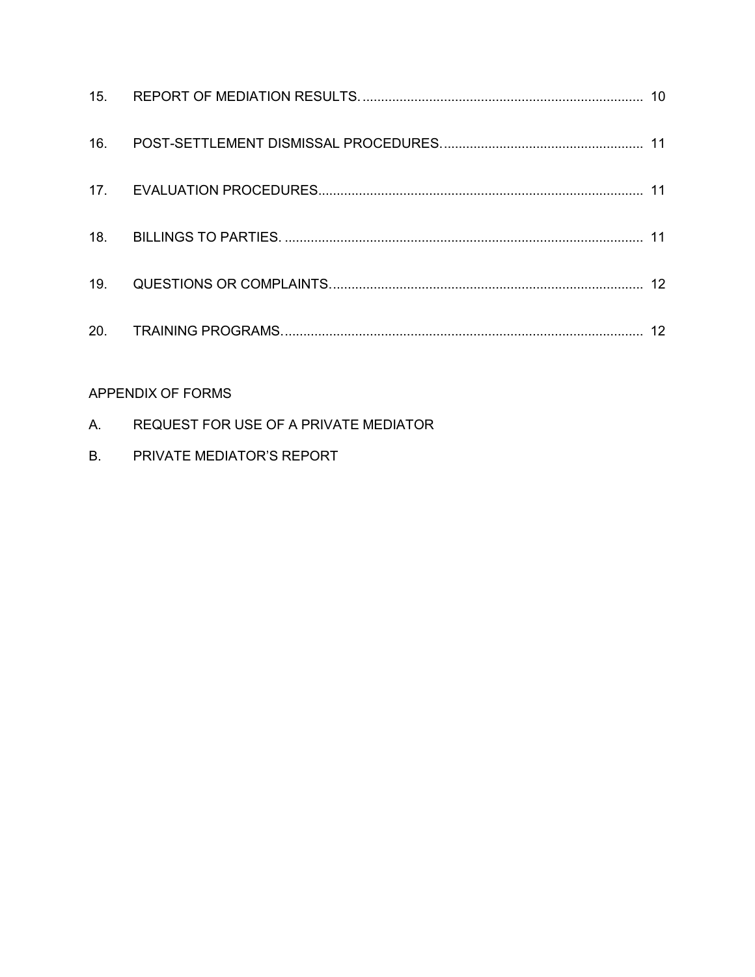| 16. |  |
|-----|--|
|     |  |
| 18. |  |
| 19. |  |
| 20. |  |

## APPENDIX OF FORMS

- A. REQUEST FOR USE OF A PRIVATE MEDIATOR
- B. PRIVATE MEDIATOR'S REPORT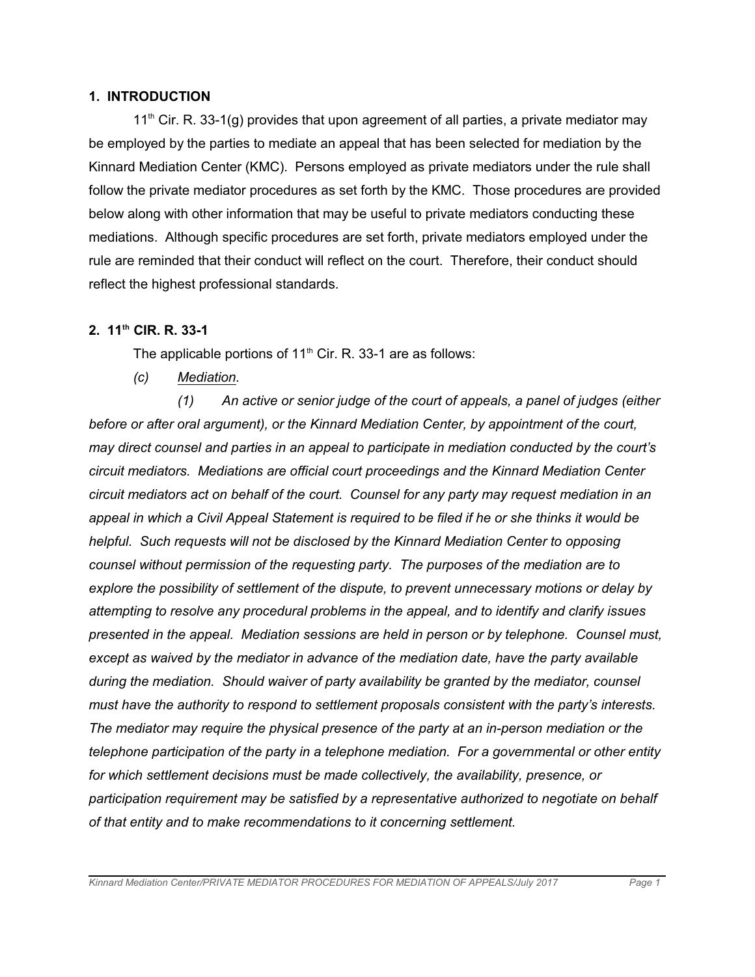#### **1. INTRODUCTION**

 $11<sup>th</sup>$  Cir. R. 33-1(g) provides that upon agreement of all parties, a private mediator may be employed by the parties to mediate an appeal that has been selected for mediation by the Kinnard Mediation Center (KMC). Persons employed as private mediators under the rule shall follow the private mediator procedures as set forth by the KMC. Those procedures are provided below along with other information that may be useful to private mediators conducting these mediations. Although specific procedures are set forth, private mediators employed under the rule are reminded that their conduct will reflect on the court. Therefore, their conduct should reflect the highest professional standards.

### **2. 11th CIR. R. 33-1**

The applicable portions of  $11<sup>th</sup>$  Cir. R. 33-1 are as follows:

*(c) Mediation.*

*(1) An active or senior judge of the court of appeals, a panel of judges (either before or after oral argument), or the Kinnard Mediation Center, by appointment of the court, may direct counsel and parties in an appeal to participate in mediation conducted by the court's circuit mediators. Mediations are official court proceedings and the Kinnard Mediation Center circuit mediators act on behalf of the court. Counsel for any party may request mediation in an appeal in which a Civil Appeal Statement is required to be filed if he or she thinks it would be helpful. Such requests will not be disclosed by the Kinnard Mediation Center to opposing counsel without permission of the requesting party. The purposes of the mediation are to explore the possibility of settlement of the dispute, to prevent unnecessary motions or delay by attempting to resolve any procedural problems in the appeal, and to identify and clarify issues presented in the appeal. Mediation sessions are held in person or by telephone. Counsel must, except as waived by the mediator in advance of the mediation date, have the party available during the mediation. Should waiver of party availability be granted by the mediator, counsel must have the authority to respond to settlement proposals consistent with the party's interests. The mediator may require the physical presence of the party at an in-person mediation or the telephone participation of the party in a telephone mediation. For a governmental or other entity for which settlement decisions must be made collectively, the availability, presence, or participation requirement may be satisfied by a representative authorized to negotiate on behalf of that entity and to make recommendations to it concerning settlement.*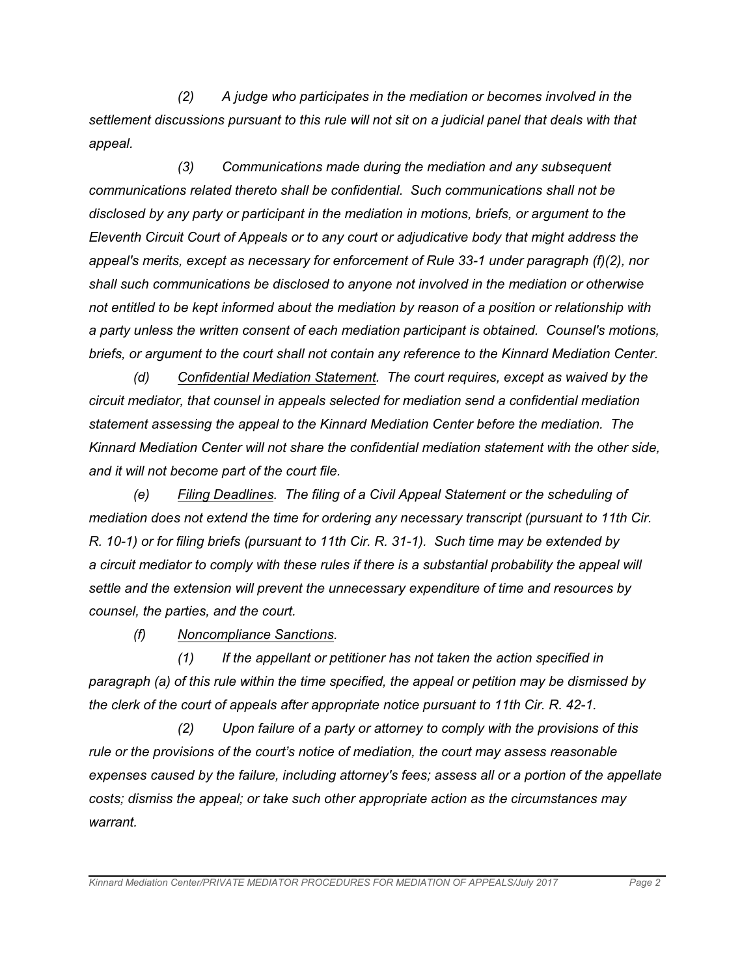*(2) A judge who participates in the mediation or becomes involved in the settlement discussions pursuant to this rule will not sit on a judicial panel that deals with that appeal.*

*(3) Communications made during the mediation and any subsequent communications related thereto shall be confidential. Such communications shall not be disclosed by any party or participant in the mediation in motions, briefs, or argument to the Eleventh Circuit Court of Appeals or to any court or adjudicative body that might address the appeal's merits, except as necessary for enforcement of Rule 33-1 under paragraph (f)(2), nor shall such communications be disclosed to anyone not involved in the mediation or otherwise not entitled to be kept informed about the mediation by reason of a position or relationship with a party unless the written consent of each mediation participant is obtained. Counsel's motions, briefs, or argument to the court shall not contain any reference to the Kinnard Mediation Center.*

*(d) Confidential Mediation Statement. The court requires, except as waived by the circuit mediator, that counsel in appeals selected for mediation send a confidential mediation statement assessing the appeal to the Kinnard Mediation Center before the mediation. The Kinnard Mediation Center will not share the confidential mediation statement with the other side, and it will not become part of the court file.*

*(e) Filing Deadlines. The filing of a Civil Appeal Statement or the scheduling of mediation does not extend the time for ordering any necessary transcript (pursuant to 11th Cir. R. 10-1) or for filing briefs (pursuant to 11th Cir. R. 31-1). Such time may be extended by a circuit mediator to comply with these rules if there is a substantial probability the appeal will settle and the extension will prevent the unnecessary expenditure of time and resources by counsel, the parties, and the court.*

*(f) Noncompliance Sanctions.*

*(1) If the appellant or petitioner has not taken the action specified in paragraph (a) of this rule within the time specified, the appeal or petition may be dismissed by the clerk of the court of appeals after appropriate notice pursuant to 11th Cir. R. 42-1.*

*(2) Upon failure of a party or attorney to comply with the provisions of this rule or the provisions of the court's notice of mediation, the court may assess reasonable expenses caused by the failure, including attorney's fees; assess all or a portion of the appellate costs; dismiss the appeal; or take such other appropriate action as the circumstances may warrant.*

*Kinnard Mediation Center/PRIVATE MEDIATOR PROCEDURES FOR MEDIATION OF APPEALS/July 2017 Page 2*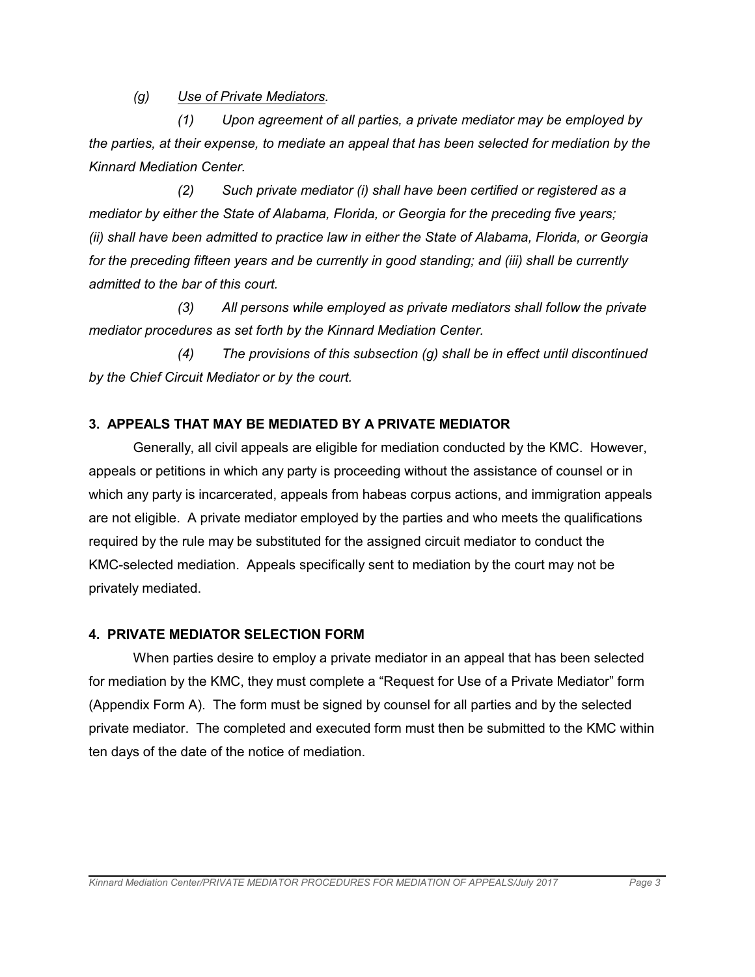*(g) Use of Private Mediators.*

*(1) Upon agreement of all parties, a private mediator may be employed by the parties, at their expense, to mediate an appeal that has been selected for mediation by the Kinnard Mediation Center.*

*(2) Such private mediator (i) shall have been certified or registered as a mediator by either the State of Alabama, Florida, or Georgia for the preceding five years; (ii) shall have been admitted to practice law in either the State of Alabama, Florida, or Georgia for the preceding fifteen years and be currently in good standing; and (iii) shall be currently admitted to the bar of this court.*

*(3) All persons while employed as private mediators shall follow the private mediator procedures as set forth by the Kinnard Mediation Center.*

*(4) The provisions of this subsection (g) shall be in effect until discontinued by the Chief Circuit Mediator or by the court.*

### **3. APPEALS THAT MAY BE MEDIATED BY A PRIVATE MEDIATOR**

Generally, all civil appeals are eligible for mediation conducted by the KMC. However, appeals or petitions in which any party is proceeding without the assistance of counsel or in which any party is incarcerated, appeals from habeas corpus actions, and immigration appeals are not eligible. A private mediator employed by the parties and who meets the qualifications required by the rule may be substituted for the assigned circuit mediator to conduct the KMC-selected mediation. Appeals specifically sent to mediation by the court may not be privately mediated.

### **4. PRIVATE MEDIATOR SELECTION FORM**

When parties desire to employ a private mediator in an appeal that has been selected for mediation by the KMC, they must complete a "Request for Use of a Private Mediator" form (Appendix Form A). The form must be signed by counsel for all parties and by the selected private mediator. The completed and executed form must then be submitted to the KMC within ten days of the date of the notice of mediation.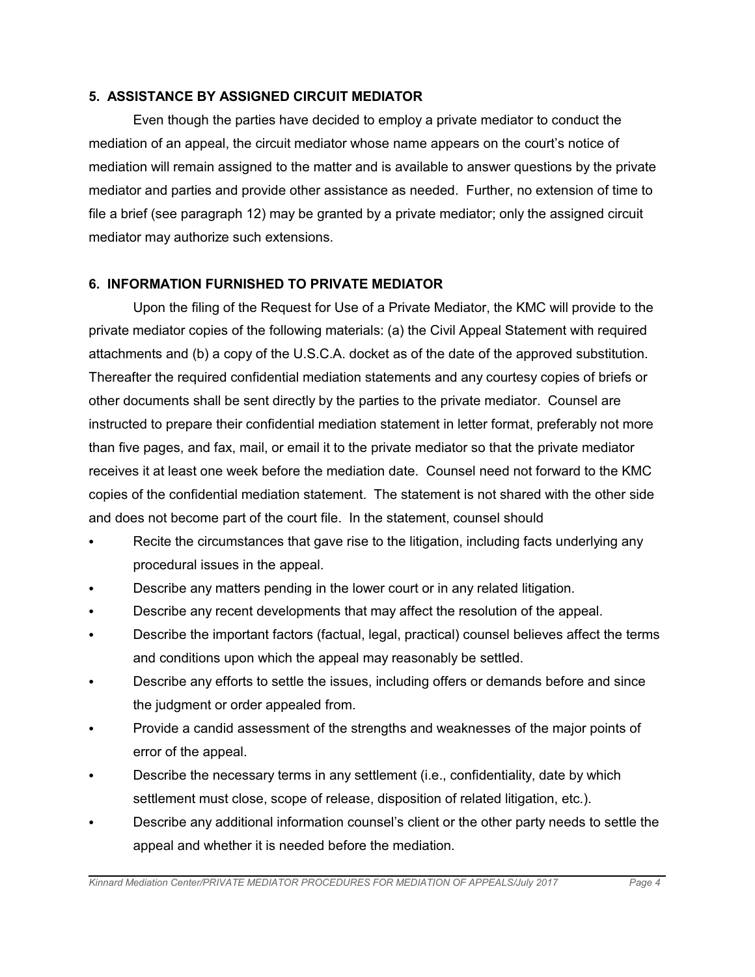### **5. ASSISTANCE BY ASSIGNED CIRCUIT MEDIATOR**

Even though the parties have decided to employ a private mediator to conduct the mediation of an appeal, the circuit mediator whose name appears on the court's notice of mediation will remain assigned to the matter and is available to answer questions by the private mediator and parties and provide other assistance as needed. Further, no extension of time to file a brief (see paragraph 12) may be granted by a private mediator; only the assigned circuit mediator may authorize such extensions.

### **6. INFORMATION FURNISHED TO PRIVATE MEDIATOR**

Upon the filing of the Request for Use of a Private Mediator, the KMC will provide to the private mediator copies of the following materials: (a) the Civil Appeal Statement with required attachments and (b) a copy of the U.S.C.A. docket as of the date of the approved substitution. Thereafter the required confidential mediation statements and any courtesy copies of briefs or other documents shall be sent directly by the parties to the private mediator. Counsel are instructed to prepare their confidential mediation statement in letter format, preferably not more than five pages, and fax, mail, or email it to the private mediator so that the private mediator receives it at least one week before the mediation date. Counsel need not forward to the KMC copies of the confidential mediation statement. The statement is not shared with the other side and does not become part of the court file. In the statement, counsel should

- Recite the circumstances that gave rise to the litigation, including facts underlying any procedural issues in the appeal.
- Describe any matters pending in the lower court or in any related litigation.
- Describe any recent developments that may affect the resolution of the appeal.
- Describe the important factors (factual, legal, practical) counsel believes affect the terms and conditions upon which the appeal may reasonably be settled.
- Describe any efforts to settle the issues, including offers or demands before and since the judgment or order appealed from.
- Provide a candid assessment of the strengths and weaknesses of the major points of error of the appeal.
- Describe the necessary terms in any settlement (i.e., confidentiality, date by which settlement must close, scope of release, disposition of related litigation, etc.).
- Describe any additional information counsel's client or the other party needs to settle the appeal and whether it is needed before the mediation.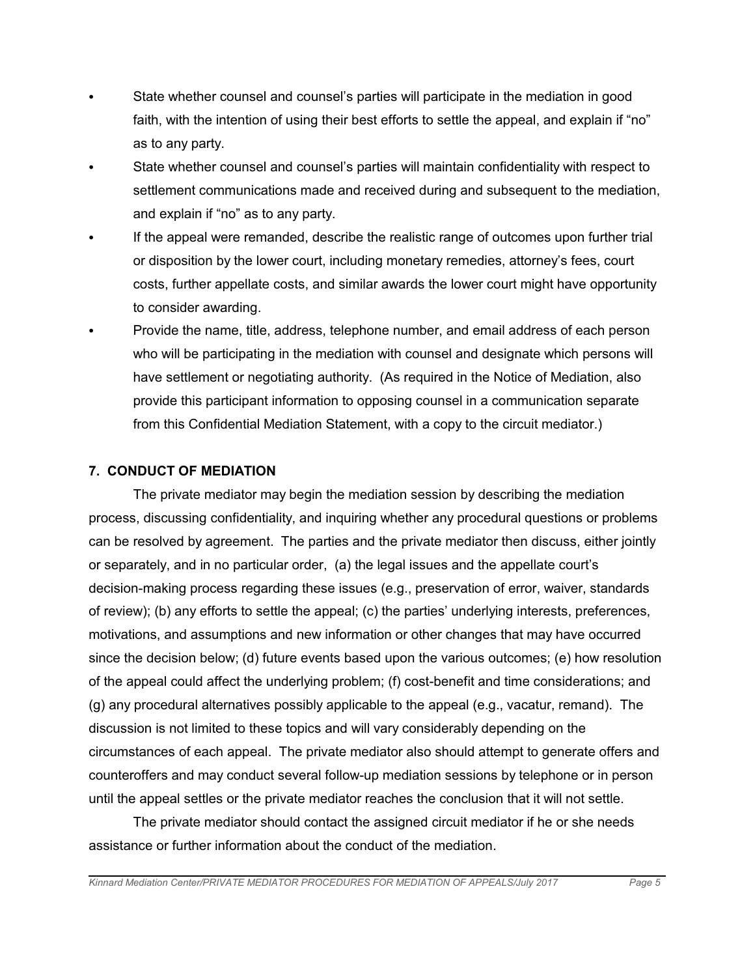- State whether counsel and counsel's parties will participate in the mediation in good faith, with the intention of using their best efforts to settle the appeal, and explain if "no" as to any party.
- C State whether counsel and counsel's parties will maintain confidentiality with respect to settlement communications made and received during and subsequent to the mediation, and explain if "no" as to any party.
- If the appeal were remanded, describe the realistic range of outcomes upon further trial or disposition by the lower court, including monetary remedies, attorney's fees, court costs, further appellate costs, and similar awards the lower court might have opportunity to consider awarding.
- Provide the name, title, address, telephone number, and email address of each person who will be participating in the mediation with counsel and designate which persons will have settlement or negotiating authority. (As required in the Notice of Mediation, also provide this participant information to opposing counsel in a communication separate from this Confidential Mediation Statement, with a copy to the circuit mediator.)

### **7. CONDUCT OF MEDIATION**

The private mediator may begin the mediation session by describing the mediation process, discussing confidentiality, and inquiring whether any procedural questions or problems can be resolved by agreement. The parties and the private mediator then discuss, either jointly or separately, and in no particular order, (a) the legal issues and the appellate court's decision-making process regarding these issues (e.g., preservation of error, waiver, standards of review); (b) any efforts to settle the appeal; (c) the parties' underlying interests, preferences, motivations, and assumptions and new information or other changes that may have occurred since the decision below; (d) future events based upon the various outcomes; (e) how resolution of the appeal could affect the underlying problem; (f) cost-benefit and time considerations; and (g) any procedural alternatives possibly applicable to the appeal (e.g., vacatur, remand). The discussion is not limited to these topics and will vary considerably depending on the circumstances of each appeal. The private mediator also should attempt to generate offers and counteroffers and may conduct several follow-up mediation sessions by telephone or in person until the appeal settles or the private mediator reaches the conclusion that it will not settle.

The private mediator should contact the assigned circuit mediator if he or she needs assistance or further information about the conduct of the mediation.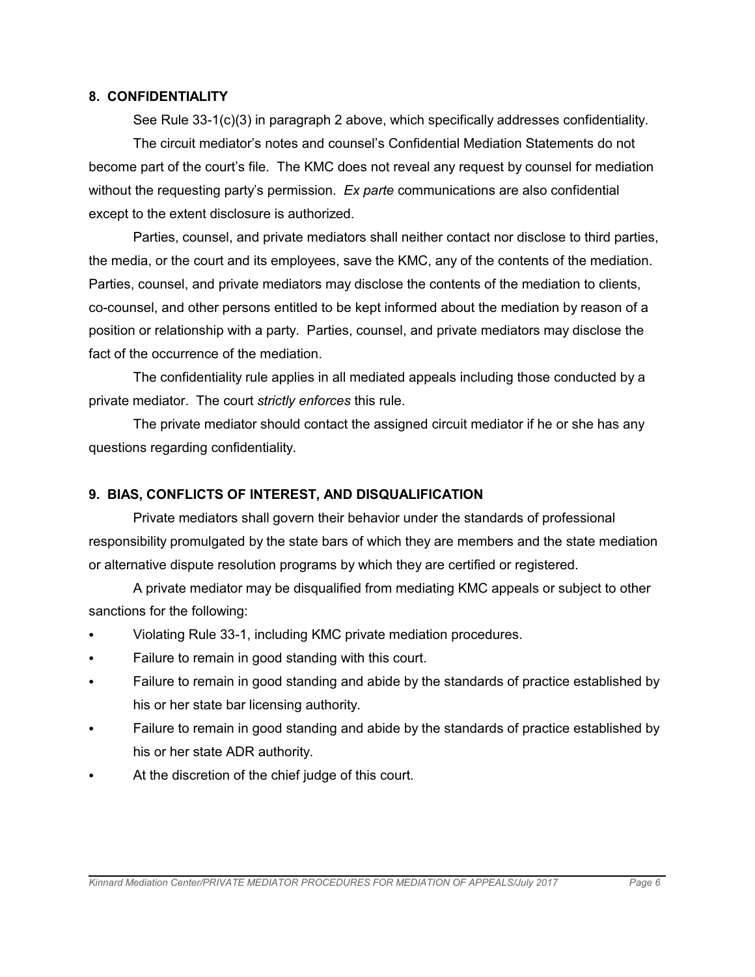#### **8. CONFIDENTIALITY**

See Rule 33-1(c)(3) in paragraph 2 above, which specifically addresses confidentiality. The circuit mediator's notes and counsel's Confidential Mediation Statements do not become part of the court's file. The KMC does not reveal any request by counsel for mediation without the requesting party's permission. *Ex parte* communications are also confidential except to the extent disclosure is authorized.

Parties, counsel, and private mediators shall neither contact nor disclose to third parties, the media, or the court and its employees, save the KMC, any of the contents of the mediation. Parties, counsel, and private mediators may disclose the contents of the mediation to clients, co-counsel, and other persons entitled to be kept informed about the mediation by reason of a position or relationship with a party. Parties, counsel, and private mediators may disclose the fact of the occurrence of the mediation.

The confidentiality rule applies in all mediated appeals including those conducted by a private mediator. The court *strictly enforces* this rule.

The private mediator should contact the assigned circuit mediator if he or she has any questions regarding confidentiality.

### **9. BIAS, CONFLICTS OF INTEREST, AND DISQUALIFICATION**

Private mediators shall govern their behavior under the standards of professional responsibility promulgated by the state bars of which they are members and the state mediation or alternative dispute resolution programs by which they are certified or registered.

A private mediator may be disqualified from mediating KMC appeals or subject to other sanctions for the following:

- Violating Rule 33-1, including KMC private mediation procedures.
- Failure to remain in good standing with this court.
- Failure to remain in good standing and abide by the standards of practice established by his or her state bar licensing authority.
- Failure to remain in good standing and abide by the standards of practice established by his or her state ADR authority.
- At the discretion of the chief judge of this court.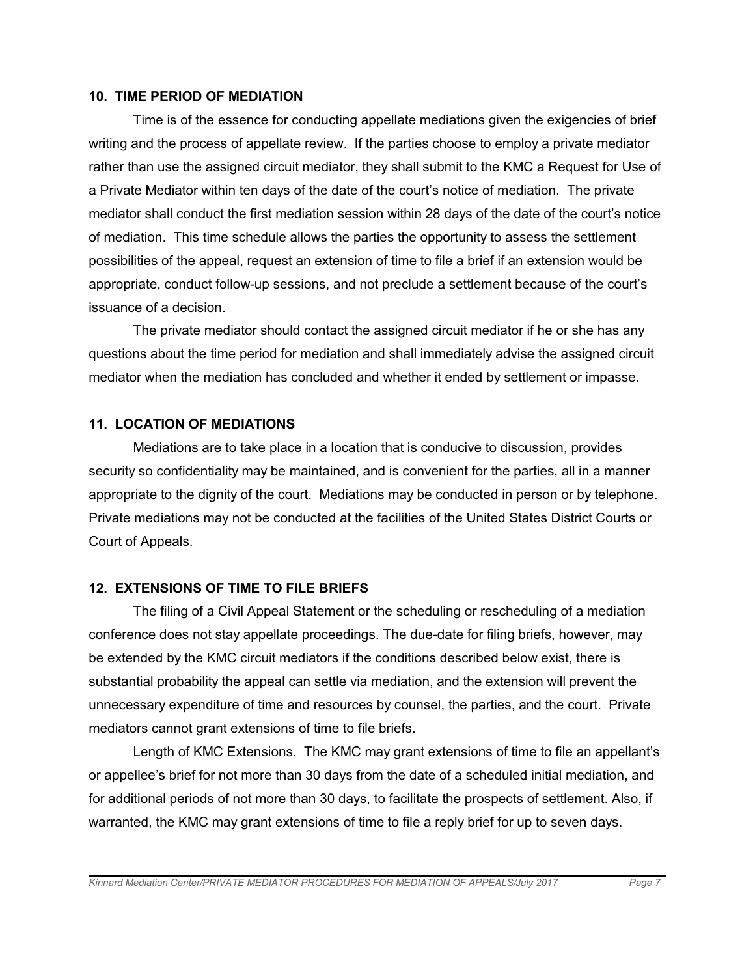#### **10. TIME PERIOD OF MEDIATION**

Time is of the essence for conducting appellate mediations given the exigencies of brief writing and the process of appellate review. If the parties choose to employ a private mediator rather than use the assigned circuit mediator, they shall submit to the KMC a Request for Use of a Private Mediator within ten days of the date of the court's notice of mediation. The private mediator shall conduct the first mediation session within 28 days of the date of the court's notice of mediation. This time schedule allows the parties the opportunity to assess the settlement possibilities of the appeal, request an extension of time to file a brief if an extension would be appropriate, conduct follow-up sessions, and not preclude a settlement because of the court's issuance of a decision.

The private mediator should contact the assigned circuit mediator if he or she has any questions about the time period for mediation and shall immediately advise the assigned circuit mediator when the mediation has concluded and whether it ended by settlement or impasse.

#### **11. LOCATION OF MEDIATIONS**

Mediations are to take place in a location that is conducive to discussion, provides security so confidentiality may be maintained, and is convenient for the parties, all in a manner appropriate to the dignity of the court. Mediations may be conducted in person or by telephone. Private mediations may not be conducted at the facilities of the United States District Courts or Court of Appeals.

#### **12. EXTENSIONS OF TIME TO FILE BRIEFS**

The filing of a Civil Appeal Statement or the scheduling or rescheduling of a mediation conference does not stay appellate proceedings. The due-date for filing briefs, however, may be extended by the KMC circuit mediators if the conditions described below exist, there is substantial probability the appeal can settle via mediation, and the extension will prevent the unnecessary expenditure of time and resources by counsel, the parties, and the court. Private mediators cannot grant extensions of time to file briefs.

Length of KMC Extensions. The KMC may grant extensions of time to file an appellant's or appellee's brief for not more than 30 days from the date of a scheduled initial mediation, and for additional periods of not more than 30 days, to facilitate the prospects of settlement. Also, if warranted, the KMC may grant extensions of time to file a reply brief for up to seven days.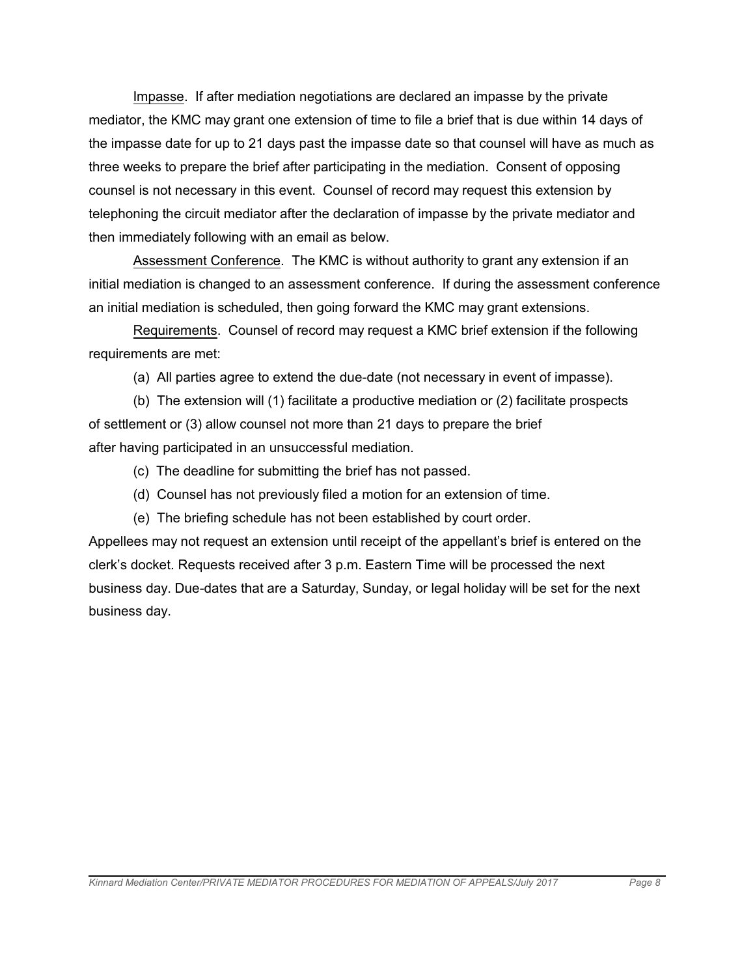Impasse. If after mediation negotiations are declared an impasse by the private mediator, the KMC may grant one extension of time to file a brief that is due within 14 days of the impasse date for up to 21 days past the impasse date so that counsel will have as much as three weeks to prepare the brief after participating in the mediation. Consent of opposing counsel is not necessary in this event. Counsel of record may request this extension by telephoning the circuit mediator after the declaration of impasse by the private mediator and then immediately following with an email as below.

Assessment Conference. The KMC is without authority to grant any extension if an initial mediation is changed to an assessment conference. If during the assessment conference an initial mediation is scheduled, then going forward the KMC may grant extensions.

Requirements. Counsel of record may request a KMC brief extension if the following requirements are met:

(a) All parties agree to extend the due-date (not necessary in event of impasse).

(b) The extension will (1) facilitate a productive mediation or (2) facilitate prospects of settlement or (3) allow counsel not more than 21 days to prepare the brief after having participated in an unsuccessful mediation.

- (c) The deadline for submitting the brief has not passed.
- (d) Counsel has not previously filed a motion for an extension of time.
- (e) The briefing schedule has not been established by court order.

Appellees may not request an extension until receipt of the appellant's brief is entered on the clerk's docket. Requests received after 3 p.m. Eastern Time will be processed the next business day. Due-dates that are a Saturday, Sunday, or legal holiday will be set for the next business day.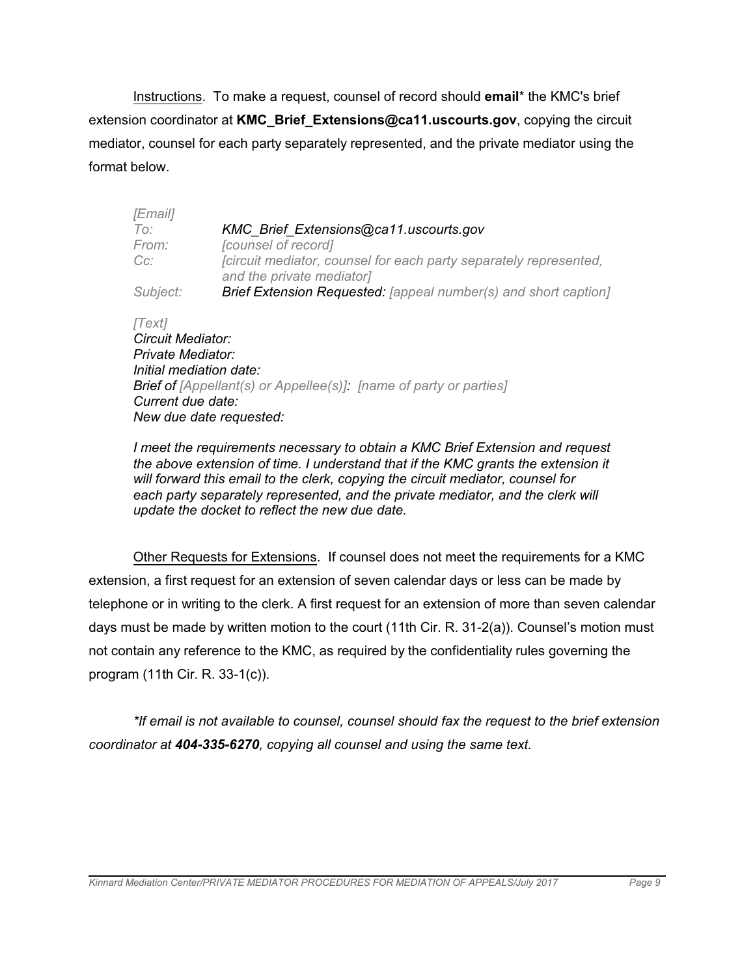Instructions. To make a request, counsel of record should **email**\* the KMC's brief extension coordinator at **KMC\_Brief\_Extensions@ca11.uscourts.gov**, copying the circuit mediator, counsel for each party separately represented, and the private mediator using the format below.

| <i>[Email]</i>           |                                                                                                |
|--------------------------|------------------------------------------------------------------------------------------------|
| To:                      | KMC Brief Extensions@ca11.uscourts.gov                                                         |
| From:                    | [counsel of record]                                                                            |
| $Cc$ :                   | [circuit mediator, counsel for each party separately represented,<br>and the private mediator] |
| Subject:                 | <b>Brief Extension Requested:</b> [appeal number(s) and short caption]                         |
| [Text]                   |                                                                                                |
| <b>Circuit Mediator:</b> |                                                                                                |
| Private Mediator:        |                                                                                                |
| Initial mediation date:  |                                                                                                |
|                          | <b>Brief of</b> [Appellant(s) or Appellee(s)]. [name of party or parties]                      |
|                          |                                                                                                |

*Current due date: New due date requested:*

*I meet the requirements necessary to obtain a KMC Brief Extension and request the above extension of time. I understand that if the KMC grants the extension it will forward this email to the clerk, copying the circuit mediator, counsel for each party separately represented, and the private mediator, and the clerk will update the docket to reflect the new due date.*

Other Requests for Extensions. If counsel does not meet the requirements for a KMC extension, a first request for an extension of seven calendar days or less can be made by telephone or in writing to the clerk. A first request for an extension of more than seven calendar days must be made by written motion to the court (11th Cir. R. 31-2(a)). Counsel's motion must not contain any reference to the KMC, as required by the confidentiality rules governing the program (11th Cir. R. 33-1(c)).

*\*If email is not available to counsel, counsel should fax the request to the brief extension coordinator at 404-335-6270, copying all counsel and using the same text.*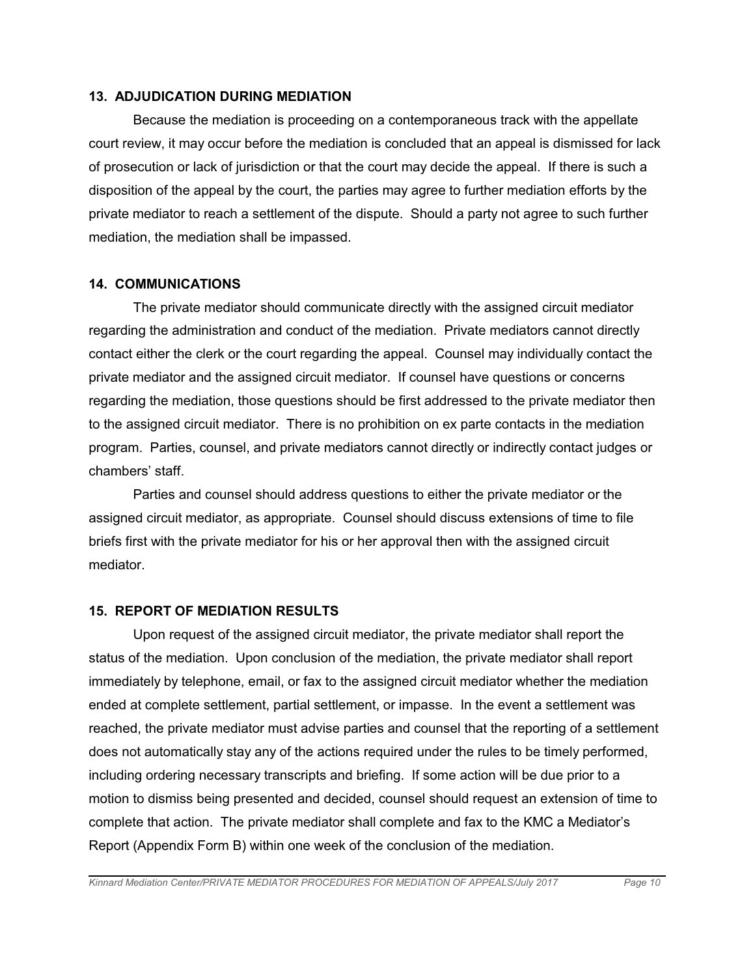#### **13. ADJUDICATION DURING MEDIATION**

Because the mediation is proceeding on a contemporaneous track with the appellate court review, it may occur before the mediation is concluded that an appeal is dismissed for lack of prosecution or lack of jurisdiction or that the court may decide the appeal. If there is such a disposition of the appeal by the court, the parties may agree to further mediation efforts by the private mediator to reach a settlement of the dispute. Should a party not agree to such further mediation, the mediation shall be impassed.

### **14. COMMUNICATIONS**

The private mediator should communicate directly with the assigned circuit mediator regarding the administration and conduct of the mediation. Private mediators cannot directly contact either the clerk or the court regarding the appeal. Counsel may individually contact the private mediator and the assigned circuit mediator. If counsel have questions or concerns regarding the mediation, those questions should be first addressed to the private mediator then to the assigned circuit mediator. There is no prohibition on ex parte contacts in the mediation program. Parties, counsel, and private mediators cannot directly or indirectly contact judges or chambers' staff.

Parties and counsel should address questions to either the private mediator or the assigned circuit mediator, as appropriate. Counsel should discuss extensions of time to file briefs first with the private mediator for his or her approval then with the assigned circuit mediator.

### **15. REPORT OF MEDIATION RESULTS**

Upon request of the assigned circuit mediator, the private mediator shall report the status of the mediation. Upon conclusion of the mediation, the private mediator shall report immediately by telephone, email, or fax to the assigned circuit mediator whether the mediation ended at complete settlement, partial settlement, or impasse. In the event a settlement was reached, the private mediator must advise parties and counsel that the reporting of a settlement does not automatically stay any of the actions required under the rules to be timely performed, including ordering necessary transcripts and briefing. If some action will be due prior to a motion to dismiss being presented and decided, counsel should request an extension of time to complete that action. The private mediator shall complete and fax to the KMC a Mediator's Report (Appendix Form B) within one week of the conclusion of the mediation.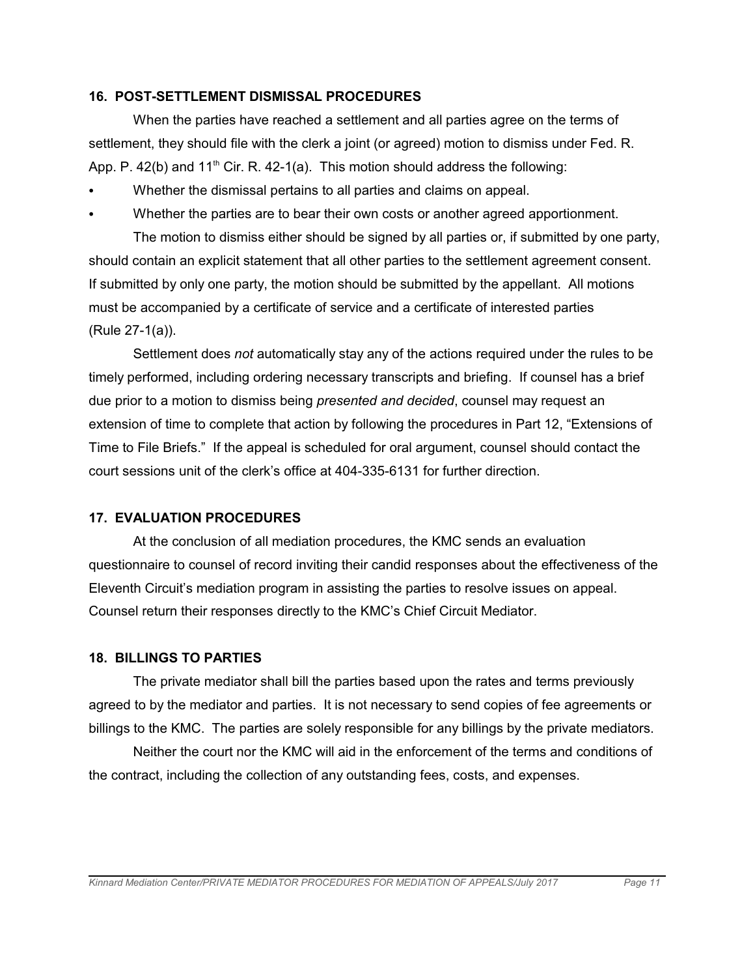#### **16. POST-SETTLEMENT DISMISSAL PROCEDURES**

When the parties have reached a settlement and all parties agree on the terms of settlement, they should file with the clerk a joint (or agreed) motion to dismiss under Fed. R. App. P.  $42(b)$  and  $11<sup>th</sup>$  Cir. R.  $42-1(a)$ . This motion should address the following:

- Whether the dismissal pertains to all parties and claims on appeal.
- Whether the parties are to bear their own costs or another agreed apportionment.

The motion to dismiss either should be signed by all parties or, if submitted by one party, should contain an explicit statement that all other parties to the settlement agreement consent. If submitted by only one party, the motion should be submitted by the appellant. All motions must be accompanied by a certificate of service and a certificate of interested parties (Rule 27-1(a)).

Settlement does *not* automatically stay any of the actions required under the rules to be timely performed, including ordering necessary transcripts and briefing. If counsel has a brief due prior to a motion to dismiss being *presented and decided*, counsel may request an extension of time to complete that action by following the procedures in Part 12, "Extensions of Time to File Briefs." If the appeal is scheduled for oral argument, counsel should contact the court sessions unit of the clerk's office at 404-335-6131 for further direction.

#### **17. EVALUATION PROCEDURES**

At the conclusion of all mediation procedures, the KMC sends an evaluation questionnaire to counsel of record inviting their candid responses about the effectiveness of the Eleventh Circuit's mediation program in assisting the parties to resolve issues on appeal. Counsel return their responses directly to the KMC's Chief Circuit Mediator.

#### **18. BILLINGS TO PARTIES**

The private mediator shall bill the parties based upon the rates and terms previously agreed to by the mediator and parties. It is not necessary to send copies of fee agreements or billings to the KMC. The parties are solely responsible for any billings by the private mediators.

Neither the court nor the KMC will aid in the enforcement of the terms and conditions of the contract, including the collection of any outstanding fees, costs, and expenses.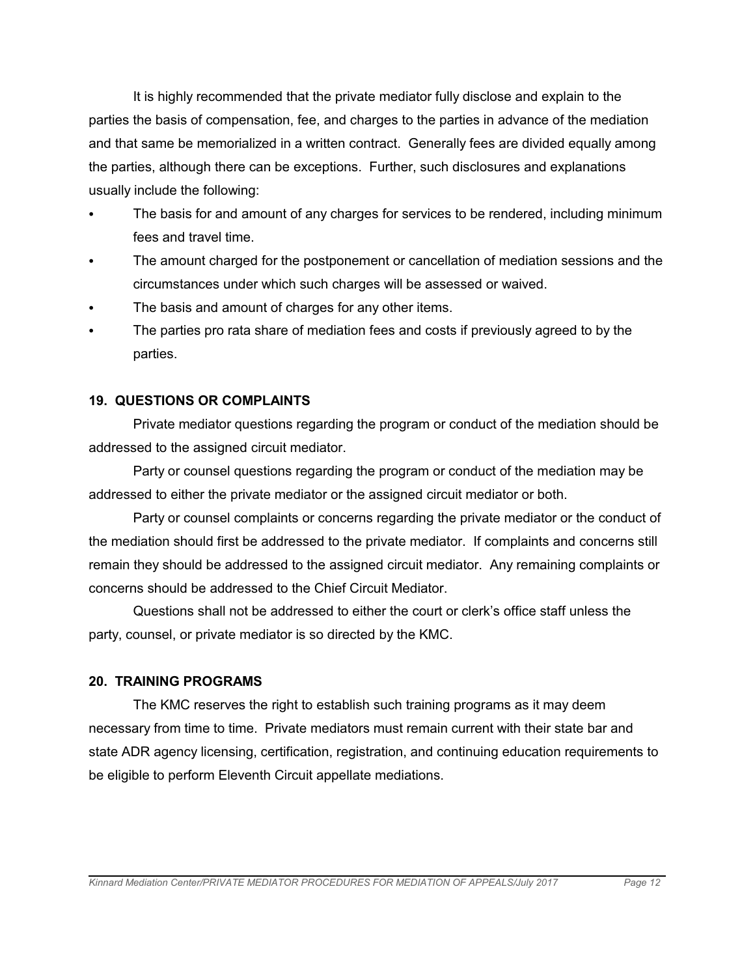It is highly recommended that the private mediator fully disclose and explain to the parties the basis of compensation, fee, and charges to the parties in advance of the mediation and that same be memorialized in a written contract. Generally fees are divided equally among the parties, although there can be exceptions. Further, such disclosures and explanations usually include the following:

- The basis for and amount of any charges for services to be rendered, including minimum fees and travel time.
- The amount charged for the postponement or cancellation of mediation sessions and the circumstances under which such charges will be assessed or waived.
- The basis and amount of charges for any other items.
- The parties pro rata share of mediation fees and costs if previously agreed to by the parties.

### **19. QUESTIONS OR COMPLAINTS**

Private mediator questions regarding the program or conduct of the mediation should be addressed to the assigned circuit mediator.

Party or counsel questions regarding the program or conduct of the mediation may be addressed to either the private mediator or the assigned circuit mediator or both.

Party or counsel complaints or concerns regarding the private mediator or the conduct of the mediation should first be addressed to the private mediator. If complaints and concerns still remain they should be addressed to the assigned circuit mediator. Any remaining complaints or concerns should be addressed to the Chief Circuit Mediator.

Questions shall not be addressed to either the court or clerk's office staff unless the party, counsel, or private mediator is so directed by the KMC.

### **20. TRAINING PROGRAMS**

The KMC reserves the right to establish such training programs as it may deem necessary from time to time. Private mediators must remain current with their state bar and state ADR agency licensing, certification, registration, and continuing education requirements to be eligible to perform Eleventh Circuit appellate mediations.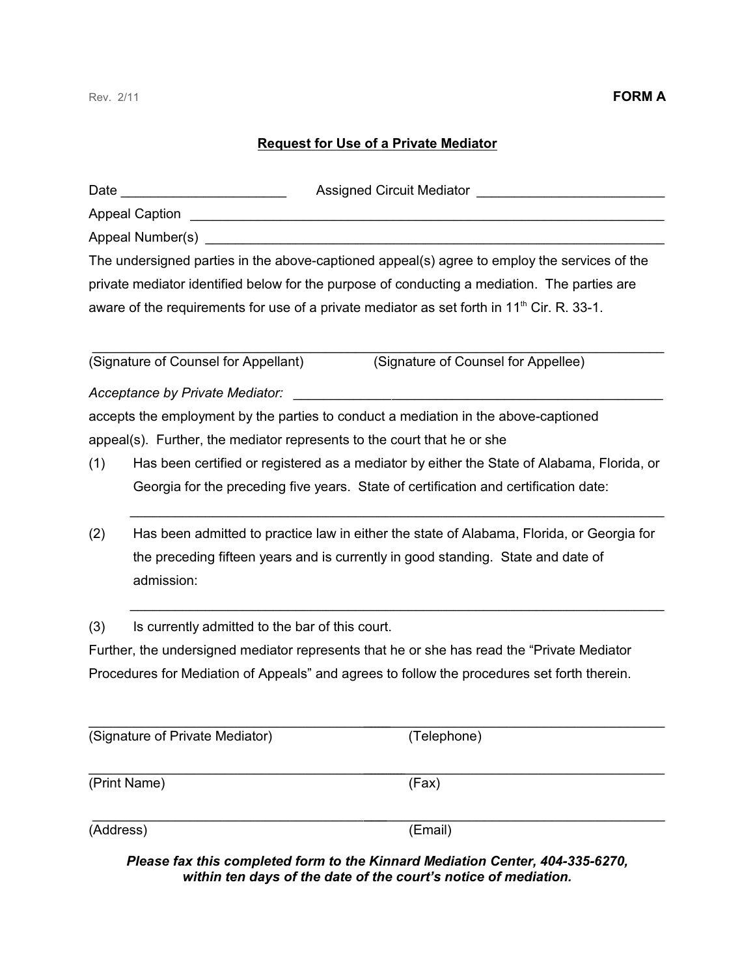### **Request for Use of a Private Mediator**

| Date |                                                                                                                                                                                             | Assigned Circuit Mediator _________                                                                    |  |  |  |  |
|------|---------------------------------------------------------------------------------------------------------------------------------------------------------------------------------------------|--------------------------------------------------------------------------------------------------------|--|--|--|--|
|      | <b>Appeal Caption</b>                                                                                                                                                                       |                                                                                                        |  |  |  |  |
|      | Appeal Number(s)                                                                                                                                                                            |                                                                                                        |  |  |  |  |
|      |                                                                                                                                                                                             | The undersigned parties in the above-captioned appeal(s) agree to employ the services of the           |  |  |  |  |
|      |                                                                                                                                                                                             | private mediator identified below for the purpose of conducting a mediation. The parties are           |  |  |  |  |
|      |                                                                                                                                                                                             | aware of the requirements for use of a private mediator as set forth in 11 <sup>th</sup> Cir. R. 33-1. |  |  |  |  |
|      |                                                                                                                                                                                             |                                                                                                        |  |  |  |  |
|      | (Signature of Counsel for Appellant)                                                                                                                                                        | (Signature of Counsel for Appellee)                                                                    |  |  |  |  |
|      | Acceptance by Private Mediator:                                                                                                                                                             |                                                                                                        |  |  |  |  |
|      |                                                                                                                                                                                             | accepts the employment by the parties to conduct a mediation in the above-captioned                    |  |  |  |  |
|      |                                                                                                                                                                                             | appeal(s). Further, the mediator represents to the court that he or she                                |  |  |  |  |
| (1)  |                                                                                                                                                                                             | Has been certified or registered as a mediator by either the State of Alabama, Florida, or             |  |  |  |  |
|      | Georgia for the preceding five years. State of certification and certification date:                                                                                                        |                                                                                                        |  |  |  |  |
| (2)  | Has been admitted to practice law in either the state of Alabama, Florida, or Georgia for<br>the preceding fifteen years and is currently in good standing. State and date of<br>admission: |                                                                                                        |  |  |  |  |
| (3)  | Is currently admitted to the bar of this court.                                                                                                                                             |                                                                                                        |  |  |  |  |
|      |                                                                                                                                                                                             | Further, the undersigned mediator represents that he or she has read the "Private Mediator             |  |  |  |  |
|      |                                                                                                                                                                                             | Procedures for Mediation of Appeals" and agrees to follow the procedures set forth therein.            |  |  |  |  |
|      | (Signature of Private Mediator)                                                                                                                                                             | (Telephone)                                                                                            |  |  |  |  |
|      | (Print Name)                                                                                                                                                                                | (Fax)                                                                                                  |  |  |  |  |

(Address) (Email)

*Please fax this completed form to the Kinnard Mediation Center, 404-335-6270, within ten days of the date of the court's notice of mediation.*

\_\_\_\_\_\_\_\_\_\_\_\_\_\_\_\_\_\_\_\_\_\_\_\_\_\_\_\_\_\_\_\_\_\_\_\_\_\_\_\_\_\_\_\_\_\_\_\_\_\_\_\_\_\_\_\_\_\_\_\_\_\_\_\_\_\_\_\_\_\_\_\_\_\_\_\_